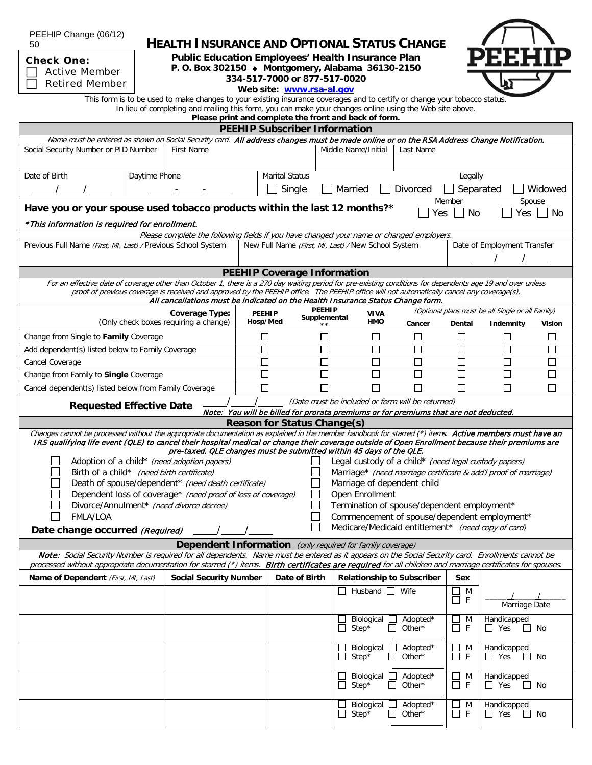PEEHIP Change (06/12) **HEALTH INSURANCE AND OPTIONAL STATUS CHANGE** 50 **Public Education Employees' Health Insurance Plan Check One: P. O. Box 302150** ♦ **Montgomery, Alabama 36130-2150** Active Member **334-517-7000 or 877-517-0020** Retired Member**Web site: [www.rsa-al.gov](http://www.rsa-al.gov/)** This form is to be used to make changes to your existing insurance coverages and to certify or change your tobacco status. In lieu of completing and mailing this form, you can make your changes online using the Web site above. **Please print and complete the front and back of form. PEEHIP Subscriber Information** Name must be entered as shown on Social Security card. All address changes must be made online or on the RSA Address Change Notification. Social Security Number or PID Number First Name Middle Name/Initial Last Name Date of Birth Daytime Phone Marital Status Legally  $\mathcal{N}$  /  $\mathcal{N}$   $\mathcal{N}$   $\mathcal{N}$   $\mathcal{N}$   $\mathcal{N}$   $\mathcal{N}$   $\mathcal{N}$   $\mathcal{N}$   $\mathcal{N}$   $\mathcal{N}$   $\mathcal{N}$   $\mathcal{N}$   $\mathcal{N}$   $\mathcal{N}$   $\mathcal{N}$   $\mathcal{N}$   $\mathcal{N}$   $\mathcal{N}$   $\mathcal{N}$   $\mathcal{N}$   $\mathcal{N}$   $\mathcal{N}$   $\mathcal{N}$   $\math$ Member Spouse **Have you or your spouse used tobacco products within the last 12 months?\*** Yes No Yes No \*This information is required for enrollment. Please complete the following fields if you have changed your name or changed employers Previous Full Name (First, MI, Last) / Previous School System New Full Name (First, MI, Last) / New School System Date of Employment Transfer / / **PEEHIP Coverage Information** For an effective date of coverage other than October 1, there is a 270 day waiting period for pre-existing conditions for dependents age 19 and over unless proof of previous coverage is received and approved by the PEEHIP office. The PEEHIP office will not automatically cancel any coverage(s). All cancellations must be indicated on the Health Insurance Status Change form. **PEEHIP**  (Optional plans must be all Single or all Family) **PEEHIP Coverage Type: VIVA Supplemental** (Only check boxes requiring a change) **Hosp/Med HMO Cancer Dental Indemnity Vision \*\***  $\Box$  $\Box$  $\Box$ Change from Single to **Family** Coverage  $\Box$  $\Box$  $\Box$  $\Box$  $\Box$  $\Box$  $\Box$  $\Box$  $\Box$  $\Box$  $\Box$ Add dependent(s) listed below to Family Coverage  $\overline{\Box}$  $\Box$  $\overline{\Box}$  $\Box$  $\Box$  $\Box$  $\overline{\Box}$ Cancel Coverage Change from Family to **Single** Coverage  $\Box$  $\Box$  $\Box$ П П П П Cancel dependent(s) listed below from Family Coverage  $\Box$  $\Box$  $\Box$  $\Box$  $\Box$  $\Box$  $\Box$ **Requested Effective Date**  $\frac{1}{\cdot}$  *Contenting (Date must be included or form will be returned)* Note: You will be billed for prorata premiums or for premiums that are not deducted. **Reason for Status Change(s)** Changes cannot be processed without the appropriate documentation as explained in the member handbook for starred  $(*)$  items. Active members must have an IRS qualifying life event (QLE) to cancel their hospital medical or change their coverage outside of Open Enrollment because their premiums are pre-taxed. QLE changes must be submitted within 45 days of the QLE. Adoption of a child\* (need adoption papers)  $\Box$  Legal custody of a child\* (need legal custody papers) Birth of a child\* (need birth certificate) Marriage\* (need marriage certificate & add'l proof of marriage) Death of spouse/dependent\* (need death certificate) Marriage of dependent child Dependent loss of coverage\* (need proof of loss of coverage)  $\Box$  Open Enrollment Divorce/Annulment\* (need divorce decree) Termination of spouse/dependent employment\* FMLA/LOA Commencement of spouse/dependent employment\* Date change occurred *(Required)* / / Date change occurred *(Required)* / Date change occurred *(Required)* **Dependent Information** (only required for family coverage) Note: Social Security Number is required for all dependents. Name must be entered as it appears on the Social Security card. Enrollments cannot be processed without appropriate documentation for starred (\*) items. Birth certificates are required for all children and marriage certificates for spouses. **Name of Dependent** (First, MI, Last) **Social Security Number Date of Birth Relationship to Subscriber** Sex  $\Box$  Husband  $\Box$  Wife  $\Box$  M  $\begin{array}{c|c}\n\hline\n\end{array}$   $\begin{array}{c|c}\n\hline\n\end{array}$   $\begin{array}{c}\n\hline\n\end{array}$  Marriage Date  $\Box$  Biological  $\Box$  Adopted\*<br> $\Box$  Step\*  $\Box$  Other\* M Handicapped  $\Box$  Other\*  $\Box$  F  $\Box$  Yes  $\Box$  No Biological **Q** Adopted\* Handicapped  $\square$  M  $\overline{\Box}$  Step\*  $\Box$  Other\* ПF  $\Box$  Yes  $\Box$  No ■Biological Adopted\*<br>■Step\* ■ Other\* M Handicapped 门 F  $\Box$  Other\*  $\Box$  Yes  $\Box$  No Biological 4dopted\* M Handicapped  $\Box$  Step\*  $\Box$  Other\*  $\Box$  F  $\Box$  Yes  $\Box$  No